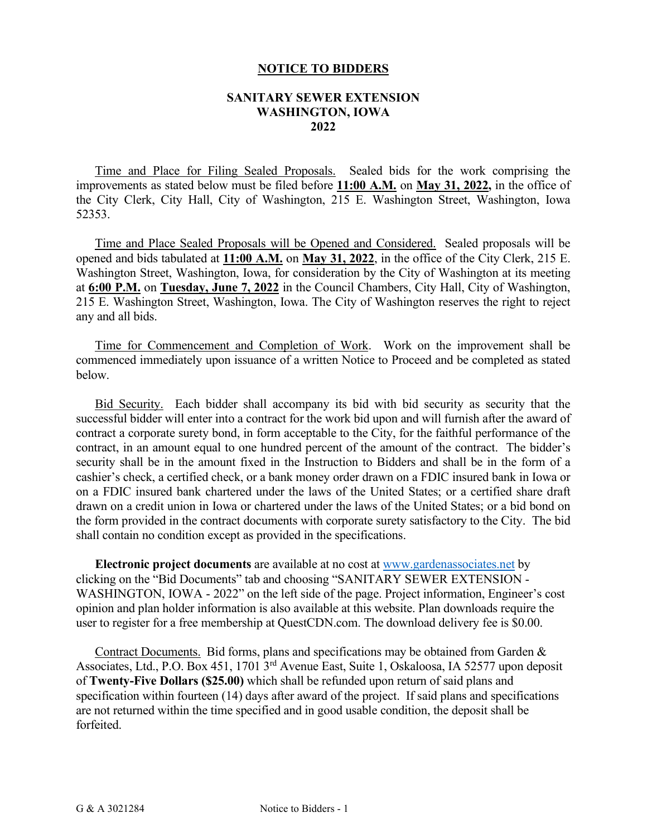## **NOTICE TO BIDDERS**

## **SANITARY SEWER EXTENSION WASHINGTON, IOWA 2022**

Time and Place for Filing Sealed Proposals. Sealed bids for the work comprising the improvements as stated below must be filed before **11:00 A.M.** on **May 31, 2022,** in the office of the City Clerk, City Hall, City of Washington, 215 E. Washington Street, Washington, Iowa 52353.

Time and Place Sealed Proposals will be Opened and Considered. Sealed proposals will be opened and bids tabulated at **11:00 A.M.** on **May 31, 2022**, in the office of the City Clerk, 215 E. Washington Street, Washington, Iowa, for consideration by the City of Washington at its meeting at **6:00 P.M.** on **Tuesday, June 7, 2022** in the Council Chambers, City Hall, City of Washington, 215 E. Washington Street, Washington, Iowa. The City of Washington reserves the right to reject any and all bids.

 Time for Commencement and Completion of Work. Work on the improvement shall be commenced immediately upon issuance of a written Notice to Proceed and be completed as stated below.

Bid Security. Each bidder shall accompany its bid with bid security as security that the successful bidder will enter into a contract for the work bid upon and will furnish after the award of contract a corporate surety bond, in form acceptable to the City, for the faithful performance of the contract, in an amount equal to one hundred percent of the amount of the contract. The bidder's security shall be in the amount fixed in the Instruction to Bidders and shall be in the form of a cashier's check, a certified check, or a bank money order drawn on a FDIC insured bank in Iowa or on a FDIC insured bank chartered under the laws of the United States; or a certified share draft drawn on a credit union in Iowa or chartered under the laws of the United States; or a bid bond on the form provided in the contract documents with corporate surety satisfactory to the City. The bid shall contain no condition except as provided in the specifications.

**Electronic project documents** are available at no cost at [www.gardenassociates.net](http://www.gardenassociates.net/) by clicking on the "Bid Documents" tab and choosing "SANITARY SEWER EXTENSION - WASHINGTON, IOWA - 2022" on the left side of the page. Project information, Engineer's cost opinion and plan holder information is also available at this website. Plan downloads require the user to register for a free membership at QuestCDN.com. The download delivery fee is \$0.00.

Contract Documents. Bid forms, plans and specifications may be obtained from Garden & Associates, Ltd., P.O. Box 451, 1701 3rd Avenue East, Suite 1, Oskaloosa, IA 52577 upon deposit of **Twenty-Five Dollars (\$25.00)** which shall be refunded upon return of said plans and specification within fourteen (14) days after award of the project. If said plans and specifications are not returned within the time specified and in good usable condition, the deposit shall be forfeited.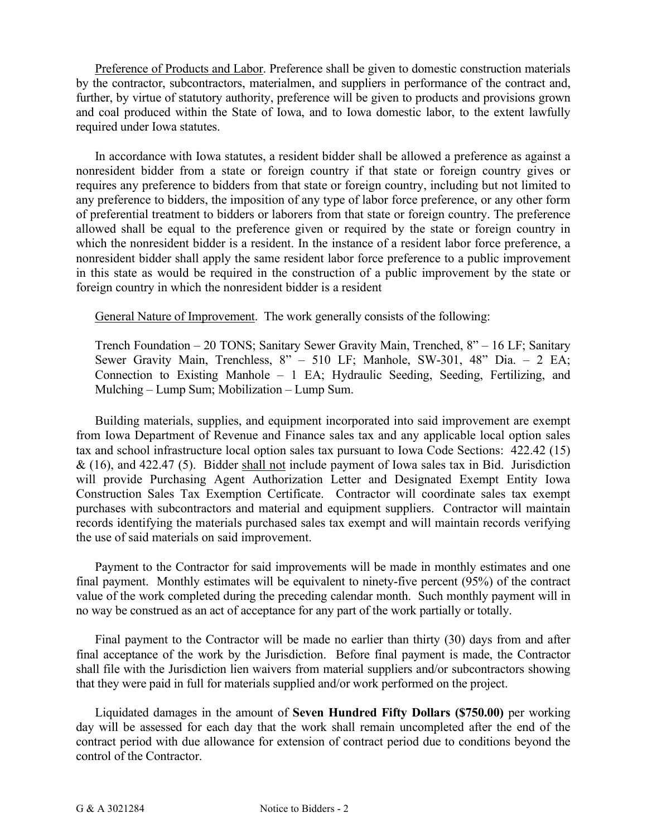Preference of Products and Labor. Preference shall be given to domestic construction materials by the contractor, subcontractors, materialmen, and suppliers in performance of the contract and, further, by virtue of statutory authority, preference will be given to products and provisions grown and coal produced within the State of Iowa, and to Iowa domestic labor, to the extent lawfully required under Iowa statutes.

In accordance with Iowa statutes, a resident bidder shall be allowed a preference as against a nonresident bidder from a state or foreign country if that state or foreign country gives or requires any preference to bidders from that state or foreign country, including but not limited to any preference to bidders, the imposition of any type of labor force preference, or any other form of preferential treatment to bidders or laborers from that state or foreign country. The preference allowed shall be equal to the preference given or required by the state or foreign country in which the nonresident bidder is a resident. In the instance of a resident labor force preference, a nonresident bidder shall apply the same resident labor force preference to a public improvement in this state as would be required in the construction of a public improvement by the state or foreign country in which the nonresident bidder is a resident

General Nature of Improvement. The work generally consists of the following:

Trench Foundation – 20 TONS; Sanitary Sewer Gravity Main, Trenched, 8" – 16 LF; Sanitary Sewer Gravity Main, Trenchless, 8" – 510 LF; Manhole, SW-301, 48" Dia. – 2 EA; Connection to Existing Manhole – 1 EA; Hydraulic Seeding, Seeding, Fertilizing, and Mulching – Lump Sum; Mobilization – Lump Sum.

Building materials, supplies, and equipment incorporated into said improvement are exempt from Iowa Department of Revenue and Finance sales tax and any applicable local option sales tax and school infrastructure local option sales tax pursuant to Iowa Code Sections: 422.42 (15) & (16), and 422.47 (5). Bidder shall not include payment of Iowa sales tax in Bid. Jurisdiction will provide Purchasing Agent Authorization Letter and Designated Exempt Entity Iowa Construction Sales Tax Exemption Certificate. Contractor will coordinate sales tax exempt purchases with subcontractors and material and equipment suppliers. Contractor will maintain records identifying the materials purchased sales tax exempt and will maintain records verifying the use of said materials on said improvement.

Payment to the Contractor for said improvements will be made in monthly estimates and one final payment. Monthly estimates will be equivalent to ninety-five percent (95%) of the contract value of the work completed during the preceding calendar month. Such monthly payment will in no way be construed as an act of acceptance for any part of the work partially or totally.

Final payment to the Contractor will be made no earlier than thirty (30) days from and after final acceptance of the work by the Jurisdiction. Before final payment is made, the Contractor shall file with the Jurisdiction lien waivers from material suppliers and/or subcontractors showing that they were paid in full for materials supplied and/or work performed on the project.

Liquidated damages in the amount of **Seven Hundred Fifty Dollars (\$750.00)** per working day will be assessed for each day that the work shall remain uncompleted after the end of the contract period with due allowance for extension of contract period due to conditions beyond the control of the Contractor.